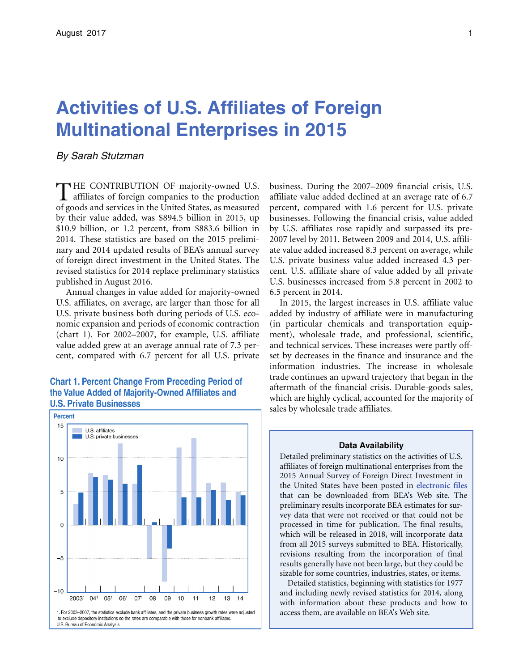## **Activities of U.S. Affiliates of Foreign Multinational Enterprises in 2015**

*By Sarah Stutzman* 

HE CONTRIBUTION OF majority-owned U.S. **1** affiliates of foreign companies to the production of goods and services in the United States, as measured by their value added, was \$894.5 billion in 2015, up \$10.9 billion, or 1.2 percent, from \$883.6 billion in 2014. These statistics are based on the 2015 preliminary and 2014 updated results of BEA's annual survey of foreign direct investment in the United States. The revised statistics for 2014 replace preliminary statistics published in August 2016.

Annual changes in value added for majority-owned U.S. affiliates, on average, are larger than those for all U.S. private business both during periods of U.S. economic expansion and periods of economic contraction (chart 1). For 2002–2007, for example, U.S. affiliate value added grew at an average annual rate of 7.3 percent, compared with 6.7 percent for all U.S. private

#### **Chart 1. Percent Change From Preceding Period of** the Value Added of Majority-Owned Affiliates and **U.S. Private Businesses**



business. During the 2007–2009 financial crisis, U.S. affiliate value added declined at an average rate of 6.7 percent, compared with 1.6 percent for U.S. private businesses. Following the financial crisis, value added by U.S. affiliates rose rapidly and surpassed its pre-2007 level by 2011. Between 2009 and 2014, U.S. affiliate value added increased 8.3 percent on average, while U.S. private business value added increased 4.3 percent. U.S. affiliate share of value added by all private U.S. businesses increased from 5.8 percent in 2002 to 6.5 percent in 2014.

In 2015, the largest increases in U.S. affiliate value added by industry of affiliate were in manufacturing (in particular chemicals and transportation equipment), wholesale trade, and professional, scientific, and technical services. These increases were partly offset by decreases in the finance and insurance and the information industries. The increase in wholesale trade continues an upward trajectory that began in the aftermath of the financial crisis. Durable-goods sales, which are highly cyclical, accounted for the majority of sales by wholesale trade affiliates.

# **Data Availability**  Detailed preliminary statistics on the activities of U.S.

 revisions resulting from the incorporation of final affiliates of foreign multinational enterprises from the 2015 Annual Survey of Foreign Direct Investment in the United States have been posted in **[electronic file](https://www.bea.gov/iTable/iTableHtml.cfm?reqid=2&step=2&isuri=1&200=2&201=2)s**  that can be downloaded from BEA's Web site. The preliminary results incorporate BEA estimates for survey data that were not received or that could not be processed in time for publication. The final results, which will be released in 2018, will incorporate data from all 2015 surveys submitted to BEA. Historically, results generally have not been large, but they could be sizable for some countries, industries, states, or items.

Detailed statistics, beginning with statistics for 1977 and including newly revised statistics for 2014, along with information about these products and how to access them, are available on BEA's Web site.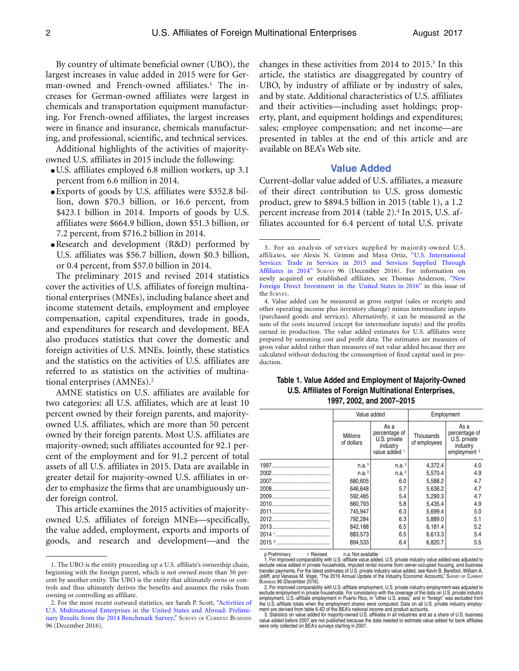By country of ultimate beneficial owner (UBO), the largest increases in value added in 2015 were for German-owned and French-owned affiliates.<sup>1</sup> The increases for German-owned affiliates were largest in chemicals and transportation equipment manufacturing. For French-owned affiliates, the largest increases were in finance and insurance, chemicals manufacturing, and professional, scientific, and technical services.

Additional highlights of the activities of majorityowned U.S. affiliates in 2015 include the following:

- U.S. affiliates employed 6.8 million workers, up 3.1 percent from 6.6 million in 2014.
- Exports of goods by U.S. affiliates were \$352.8 billion, down \$70.3 billion, or 16.6 percent, from \$423.1 billion in 2014. Imports of goods by U.S. affiliates were \$664.9 billion, down \$51.3 billion, or 7.2 percent, from \$716.2 billion in 2014.
- Research and development (R&D) performed by U.S. affiliates was \$56.7 billion, down \$0.3 billion, or 0.4 percent, from \$57.0 billion in 2014.

 income statement details, employment and employee referred to as statistics on the activities of multina-The preliminary 2015 and revised 2014 statistics cover the activities of U.S. affiliates of foreign multinational enterprises (MNEs), including balance sheet and compensation, capital expenditures, trade in goods, and expenditures for research and development. BEA also produces statistics that cover the domestic and foreign activities of U.S. MNEs. Jointly, these statistics and the statistics on the activities of U.S. affiliates are tional enterprises (AMNEs).2

AMNE statistics on U.S. affiliates are available for two categories: all U.S. affiliates, which are at least 10 percent owned by their foreign parents, and majorityowned U.S. affiliates, which are more than 50 percent owned by their foreign parents. Most U.S. affiliates are majority-owned; such affiliates accounted for 92.1 percent of the employment and for 91.2 percent of total assets of all U.S. affiliates in 2015. Data are available in greater detail for majority-owned U.S. affiliates in order to emphasize the firms that are unambiguously under foreign control.

This article examines the 2015 activities of majorityowned U.S. affiliates of foreign MNEs—specifically, the value added, employment, exports and imports of goods, and research and development—and the

changes in these activities from 2014 to 2015.<sup>3</sup> In this article, the statistics are disaggregated by country of UBO, by industry of affiliate or by industry of sales, and by state. Additional characteristics of U.S. affiliates and their activities—including asset holdings; property, plant, and equipment holdings and expenditures; sales; employee compensation; and net income—are presented in tables at the end of this article and are available on BEA's Web site.

#### **Value Added**

 filiates accounted for 6.4 percent of total U.S. private Current-dollar value added of U.S. affiliates, a measure of their direct contribution to U.S. gross domestic product, grew to \$894.5 billion in 2015 (table 1), a 1.2 percent increase from 2014 (table 2).<sup>4</sup> In 2015, U.S. af-

#### **Table 1. Value Added and Employment of Majority-Owned U.S. Affiliates of Foreign Multinational Enterprises, 1997, 2002, and 2007–2015**

| Value added                   |                                                                    | Employment                |                                                                              |  |  |  |
|-------------------------------|--------------------------------------------------------------------|---------------------------|------------------------------------------------------------------------------|--|--|--|
| <b>Millions</b><br>of dollars | As a<br>percentage of<br>U.S. private<br>industry<br>value added 1 | Thousands<br>of employees | As a<br>percentage of<br>U.S. private<br>industry<br>employment <sup>2</sup> |  |  |  |
| n.a. <sup>3</sup>             | n.a. <sup>3</sup>                                                  | 4,372.4                   | 4.0                                                                          |  |  |  |
| n.a. <sup>3</sup>             | n.a. <sup>3</sup>                                                  | 5,570.4                   | 4.9                                                                          |  |  |  |
| 680,605                       | 6.0                                                                | 5.588.2                   | 4.7                                                                          |  |  |  |
| 646,648                       | 5.7                                                                | 5,636.2                   | 4.7                                                                          |  |  |  |
| 592,485                       | 5.4                                                                | 5.290.3                   | 4.7                                                                          |  |  |  |
| 660.793                       | 5.8                                                                | 5.435.4                   | 4.9                                                                          |  |  |  |
| 745.947                       | 6.3                                                                | 5.699.4                   | 5.0                                                                          |  |  |  |
| 792,284                       | 6.3                                                                | 5,889.0                   | 5.1                                                                          |  |  |  |
| 842,188                       | 6.5                                                                | 6,181.4                   | 5.2                                                                          |  |  |  |
| 883,573                       | 6.5                                                                | 6,613.3                   | 5.4                                                                          |  |  |  |
| 894,533                       | 6.4                                                                | 6,820.7                   | 5.5                                                                          |  |  |  |

<sup>1.</sup> The UBO is the entity proceeding up a U.S. affiliate's ownership chain, beginning with the foreign parent, which is not owned more than 50 percent by another entity. The UBO is the entity that ultimately owns or controls and thus ultimately derives the benefits and assumes the risks from owning or controlling an affiliate.

<sup>2.</sup> For the most recent outward statistics, see Sarah P. Scott[, "Activities o](https://www.bea.gov/scb/pdf/2016/12%20December/1216_activities_of_us_multinational_enterprises.pdf)f [U.S. Multinational Enterprises in the United States and Abroad: Prelimi](https://www.bea.gov/scb/pdf/2016/12%20December/1216_activities_of_us_multinational_enterprises.pdf)[nary Results from the 2014 Benchmark Survey,"](https://www.bea.gov/scb/pdf/2016/12%20December/1216_activities_of_us_multinational_enterprises.pdf) SURVEY OF CURRENT BUSINESS 96 (December 2016).

<sup>3.</sup> For an analysis of services supplied by majority-owned U.S. affiliates, see Alexis N. Grimm a[nd Maya Ortiz, "U.S. Internationa](https://www.bea.gov/scb/pdf/2016/12%20December/1216_international_services.pdf)l [Services: Trade in Services in 2015 and Services Supplied](https://www.bea.gov/scb/pdf/2016/12%20December/1216_activities_of_us_multinational_enterprises.pdf) [Through](https://www.bea.gov/scb/pdf/2016/12%20December/1216_international_services.pdf) [Affiliates in 2014"](https://www.bea.gov/scb/pdf/2016/12%20December/1216_international_services.pdf) SURVEY 96 (December 2016). For information on newly acquired or established affiliates, see Thomas Anderson, ["New](https://bea.gov/scb/pdf/2017/08-August/0817-expenditures-for-new-foreign-direct-investment-in-the-united-states.pd)  [Foreign Direct Investment in the United States in 2016"](https://bea.gov/scb/pdf/2017/08-August/0817-expenditures-for-new-foreign-direct-investment-in-the-united-states.pd) in this issue of the SURVEY.

<sup>4.</sup> Value added can be measured as gross output (sales or receipts and other operating income plus inventory change) minus intermediate inputs (purchased goods and services). Alternatively, it can be measured as the sum of the costs incurred (except for intermediate inputs) and the profits earned in production. The value added estimates for U.S. affiliates were prepared by summing cost and profit data. The estimates are measures of gross value added rather than measures of net value added because they are calculated without deducting the consumption of fixed capital used in production.

p Preliminary r Revised n.a. Not available 1. For improved comparability with U.S.-affiliate value added, U.S. private industry value added was adjusted to exclude value added in private households, imputed rental income from owner-occupied housing, and business transfer payments. For the latest estimates of U.S. private industry value added, see Kevin B. Barefoot, William A. Jolliff, and Vanessa M. Vogel, "The 2016 Annual Update of the Industry Economic Accounts," SURVEY OF CURRENT

 Busiw∈ss 96 (December 2016).<br>- 2. For improved comparability with U.S.-affiliate employment, U.S. private industry employment was adjusted to<br>exclude employment in private households. For consistency with the coverage of employment, U.S.-affiliate employment in Puerto Rico, in "other U.S. areas," and in "foreign" was excluded from<br>the U.S.-affiliate totals when the employment shares were computed. Data on all U.S. private industry employ-<br>

<sup>3.</sup> Statistics on value added for majority-owned U.S. affiliates in all industries and as a share of U.S. business value added before 2007 are not published because the data needed to estimate value added for bank affiliates were only collected on BEA's surveys starting in 2007.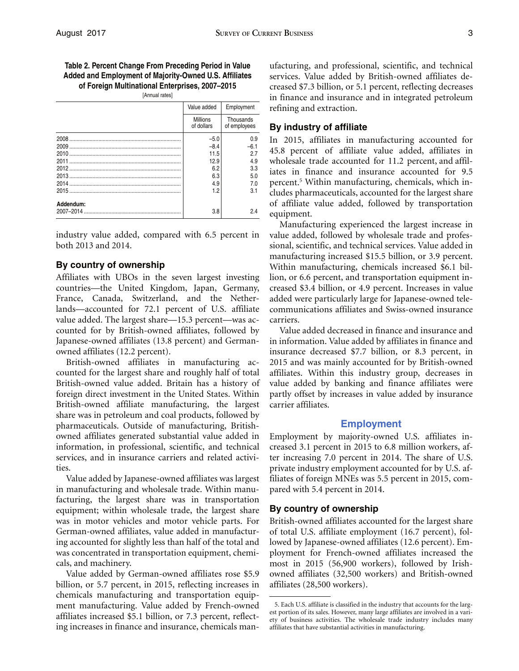**Table 2. Percent Change From Preceding Period in Value Added and Employment of Majority-Owned U.S. Affiliates of Foreign Multinational Enterprises, 2007–2015** 

[Annual rates]

|           | Value added                   | Employment                |
|-----------|-------------------------------|---------------------------|
|           | <b>Millions</b><br>of dollars | Thousands<br>of employees |
|           | $-5.0$                        | 0.9                       |
|           | $-8.4$                        | $-6.1$                    |
|           | 11.5                          | 27                        |
|           | 12.9                          | 4.9                       |
|           | 6.2                           | 3.3                       |
|           | 6.3                           | 5.0                       |
|           | 4.9                           | 7.0                       |
|           | 1.2                           | 3.1                       |
| Addendum: | 3.8                           | 24                        |
|           |                               |                           |

industry value added, compared with 6.5 percent in both 2013 and 2014.

#### **By country of ownership**

Affiliates with UBOs in the seven largest investing countries—the United Kingdom, Japan, Germany, France, Canada, Switzerland, and the Netherlands—accounted for 72.1 percent of U.S. affiliate value added. The largest share—15.3 percent—was accounted for by British-owned affiliates, followed by Japanese-owned affiliates (13.8 percent) and Germanowned affiliates (12.2 percent).

British-owned affiliates in manufacturing accounted for the largest share and roughly half of total British-owned value added. Britain has a history of foreign direct investment in the United States. Within British-owned affiliate manufacturing, the largest share was in petroleum and coal products, followed by pharmaceuticals. Outside of manufacturing, Britishowned affiliates generated substantial value added in information, in professional, scientific, and technical services, and in insurance carriers and related activities.

Value added by Japanese-owned affiliates was largest in manufacturing and wholesale trade. Within manufacturing, the largest share was in transportation equipment; within wholesale trade, the largest share was in motor vehicles and motor vehicle parts. For German-owned affiliates, value added in manufacturing accounted for slightly less than half of the total and was concentrated in transportation equipment, chemicals, and machinery.

Value added by German-owned affiliates rose \$5.9 billion, or 5.7 percent, in 2015, reflecting increases in chemicals manufacturing and transportation equipment manufacturing. Value added by French-owned affiliates increased \$5.1 billion, or 7.3 percent, reflecting increases in finance and insurance, chemicals manufacturing, and professional, scientific, and technical services. Value added by British-owned affiliates decreased \$7.3 billion, or 5.1 percent, reflecting decreases in finance and insurance and in integrated petroleum refining and extraction.

#### **By industry of affiliate**

In 2015, affiliates in manufacturing accounted for 45.8 percent of affiliate value added, affiliates in wholesale trade accounted for 11.2 percent, and affiliates in finance and insurance accounted for 9.5 percent.5 Within manufacturing, chemicals, which includes pharmaceuticals, accounted for the largest share of affiliate value added, followed by transportation equipment.

 lion, or 6.6 percent, and transportation equipment in-Manufacturing experienced the largest increase in value added, followed by wholesale trade and professional, scientific, and technical services. Value added in manufacturing increased \$15.5 billion, or 3.9 percent. Within manufacturing, chemicals increased \$6.1 bilcreased \$3.4 billion, or 4.9 percent. Increases in value added were particularly large for Japanese-owned telecommunications affiliates and Swiss-owned insurance carriers.

Value added decreased in finance and insurance and in information. Value added by affiliates in finance and insurance decreased \$7.7 billion, or 8.3 percent, in 2015 and was mainly accounted for by British-owned affiliates. Within this industry group, decreases in value added by banking and finance affiliates were partly offset by increases in value added by insurance carrier affiliates.

#### **Employment**

Employment by majority-owned U.S. affiliates increased 3.1 percent in 2015 to 6.8 million workers, after increasing 7.0 percent in 2014. The share of U.S. private industry employment accounted for by U.S. affiliates of foreign MNEs was 5.5 percent in 2015, compared with 5.4 percent in 2014.

#### **By country of ownership**

British-owned affiliates accounted for the largest share of total U.S. affiliate employment (16.7 percent), followed by Japanese-owned affiliates (12.6 percent). Employment for French-owned affiliates increased the most in 2015 (56,900 workers), followed by Irishowned affiliates (32,500 workers) and British-owned affiliates (28,500 workers).

<sup>5.</sup> Each U.S. affiliate is classified in the industry that accounts for the largest portion of its sales. However, many large affiliates are involved in a variety of business activities. The wholesale trade industry includes many affiliates that have substantial activities in manufacturing.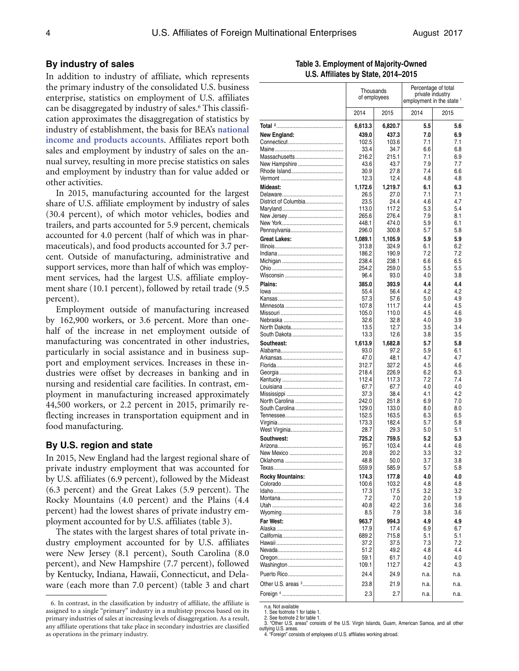#### **By industry of sales**

In addition to industry of affiliate, which represents the primary industry of the consolidated U.S. business enterprise, statistics on employment of U.S. affiliates can be disaggregated by industry of sales.6 This classification approximates the disaggregation of statistics by industry of establishment, the basis for BEA's **[national](https://www.bea.gov/national/index.htm)  [income and products accounts](https://www.bea.gov/national/index.htm)**. Affiliates report both sales and employment by industry of sales on the annual survey, resulting in more precise statistics on sales and employment by industry than for value added or other activities.

In 2015, manufacturing accounted for the largest share of U.S. affiliate employment by industry of sales (30.4 percent), of which motor vehicles, bodies and trailers, and parts accounted for 5.9 percent, chemicals accounted for 4.0 percent (half of which was in pharmaceuticals), and food products accounted for 3.7 percent. Outside of manufacturing, administrative and support services, more than half of which was employment services, had the largest U.S. affiliate employment share (10.1 percent), followed by retail trade (9.5 percent).

Employment outside of manufacturing increased by 162,900 workers, or 3.6 percent. More than onehalf of the increase in net employment outside of manufacturing was concentrated in other industries, particularly in social assistance and in business support and employment services. Increases in these industries were offset by decreases in banking and in nursing and residential care facilities. In contrast, employment in manufacturing increased approximately 44,500 workers, or 2.2 percent in 2015, primarily reflecting increases in transportation equipment and in food manufacturing.

#### **By U.S. region and state**

In 2015, New England had the largest regional share of private industry employment that was accounted for by U.S. affiliates (6.9 percent), followed by the Mideast (6.3 percent) and the Great Lakes (5.9 percent). The Rocky Mountains (4.0 percent) and the Plains (4.4 percent) had the lowest shares of private industry employment accounted for by U.S. affiliates (table 3).

The states with the largest shares of total private industry employment accounted for by U.S. affiliates were New Jersey (8.1 percent), South Carolina (8.0 percent), and New Hampshire (7.7 percent), followed by Kentucky, Indiana, Hawaii, Connecticut, and Delaware (each more than 7.0 percent) (table 3 and chart

| Table 3. Employment of Majority-Owned |
|---------------------------------------|
| U.S. Affiliates by State, 2014-2015   |

|                         | Thousands<br>of employees |                | Percentage of total<br>private industry<br>employment in the state <sup>1</sup> |            |  |  |
|-------------------------|---------------------------|----------------|---------------------------------------------------------------------------------|------------|--|--|
|                         | 2014                      | 2015           | 2014                                                                            | 2015       |  |  |
|                         | 6,613.3                   | 6,820.7        | 5.5                                                                             | 5.6        |  |  |
| New England:            | 439.0                     | 437.3          | 7.0                                                                             | 6.9        |  |  |
|                         | 102.5                     | 103.6          | 7.1                                                                             | 7.1        |  |  |
|                         | 33.4                      | 34.7           | 6.6                                                                             | 6.8        |  |  |
|                         | 216.2                     | 215.1          | 7.1                                                                             | 6.9        |  |  |
| New Hampshire           | 43.6                      | 43.7           | 7.9                                                                             | 7.7        |  |  |
|                         | 30.9                      | 27.8           | 7.4                                                                             | 6.6        |  |  |
|                         | 12.3                      | 12.4           | 4.8                                                                             | 4.8        |  |  |
| Mideast:                | 1,172.6                   | 1,219.7        | 6.1                                                                             | 6.3        |  |  |
|                         | 26.5                      | 27.0           | 7.1                                                                             | 7.1        |  |  |
| District of Columbia    | 23.5                      | 24.4           | 4.6                                                                             | 4.7        |  |  |
|                         | 113.0                     | 117.2          | 5.3                                                                             | 5.4        |  |  |
|                         | 265.6                     | 276.4          | 7.9                                                                             | 8.1        |  |  |
|                         | 448.1                     | 474.0          | 5.9                                                                             | 6.1<br>5.8 |  |  |
|                         | 296.0                     | 300.8          | 5.7                                                                             |            |  |  |
| Great Lakes:            | 1,089.1                   | 1,105.9        | 5.9                                                                             | 5.9        |  |  |
| Illinois……………………………………… | 313.8                     | 324.9          | 6.1                                                                             | 6.2        |  |  |
|                         | 186.2                     | 190.9<br>238.1 | 7.2                                                                             | 7.2        |  |  |
|                         | 238.4<br>254.2            | 259.0          | 6.6<br>5.5                                                                      | 6.5<br>5.5 |  |  |
|                         | 96.4                      | 93.0           | 4.0                                                                             | 3.8        |  |  |
|                         |                           |                |                                                                                 |            |  |  |
| Plains:                 | 385.0                     | 393.9          | 4.4<br>4.2                                                                      | 4.4<br>4.2 |  |  |
|                         | 55.4<br>57.3              | 56.4<br>57.6   | 5.0                                                                             | 4.9        |  |  |
|                         | 107.8                     | 111.7          | 4.4                                                                             | 4.5        |  |  |
|                         | 105.0                     | 110.0          | 4.5                                                                             | 4.6        |  |  |
|                         | 32.6                      | 32.8           | 4.0                                                                             | 3.9        |  |  |
|                         | 13.5                      | 12.7           | 3.5                                                                             | 3.4        |  |  |
|                         | 13.3                      | 12.6           | 3.8                                                                             | 3.5        |  |  |
| Southeast:              | 1,613.9                   | 1,682.8        | 5.7                                                                             | 5.8        |  |  |
|                         | 93.0                      | 97.2           | 5.9                                                                             | 6.1        |  |  |
|                         | 47.0                      | 48.1           | 4.7                                                                             | 4.7        |  |  |
|                         | 312.7                     | 327.2          | 4.5                                                                             | 4.6        |  |  |
|                         | 218.4                     | 226.9          | 6.2                                                                             | 6.3        |  |  |
|                         | 112.4                     | 117.3          | 7.2                                                                             | 7.4        |  |  |
|                         | 67.7                      | 67.7           | 4.0                                                                             | 4.0        |  |  |
|                         | 37.3                      | 38.4           | 4.1                                                                             | 4.2        |  |  |
| North Carolina          | 242.0                     | 251.8          | 6.9                                                                             | 7.0        |  |  |
| South Carolina          | 129.0                     | 133.0          | 8.0                                                                             | 8.0        |  |  |
|                         | 152.5                     | 163.5          | 6.3                                                                             | 6.5        |  |  |
|                         | 173.3                     | 182.4          | 5.7                                                                             | 5.8        |  |  |
|                         | 28.7                      | 29.3           | 5.0                                                                             | 5.1        |  |  |
| Southwest:              | 725.2                     | 759.5          | 5.2                                                                             | 5.3        |  |  |
|                         | 95.7                      | 103.4          | 4.4                                                                             | 4.6        |  |  |
|                         | 20.8                      | 20.2           | 3.3<br>3.7                                                                      | 3.2        |  |  |
| Oklahoma                | 48.8<br>559.9             | 50.0           | 5.7                                                                             | 3.8        |  |  |
|                         |                           | 585.9          |                                                                                 | 5.8        |  |  |
| <b>Rocky Mountains:</b> | 174.3                     | 177.8          | 4.0                                                                             | 4.0<br>4.8 |  |  |
|                         | 100.6<br>17.3             | 103.2<br>17.5  | 4.8<br>3.2                                                                      | 3.2        |  |  |
|                         | 7.2                       | 7.0            | 2.0                                                                             | 1.9        |  |  |
|                         | 40.8                      | 42.2           | 3.6                                                                             | 3.6        |  |  |
|                         | 8.5                       | 7.9            | 3.8                                                                             | 3.6        |  |  |
| Far West:               | 963.7                     | 994.3          | 4.9                                                                             | 4.9        |  |  |
|                         | 17.9                      | 17.4           | 6.9                                                                             | 6.7        |  |  |
|                         | 689.2                     | 715.8          | 5.1                                                                             | 5.1        |  |  |
|                         | 37.2                      | 37.5           | 7.3                                                                             | 7.2        |  |  |
|                         | 51.2                      | 49.2           | 4.8                                                                             | 4.4        |  |  |
|                         | 59.1                      | 61.7           | 4.0                                                                             | 4.0        |  |  |
|                         | 109.1                     | 112.7          | 4.2                                                                             | 4.3        |  |  |
|                         | 24.4                      | 24.9           |                                                                                 |            |  |  |
|                         |                           |                | n.a.                                                                            | n.a.       |  |  |
| Other U.S. areas 3      | 23.8                      | 21.9           | n.a.                                                                            | n.a.       |  |  |
|                         | 2.3                       | 2.7            | n.a.                                                                            | n.a.       |  |  |
|                         |                           |                |                                                                                 |            |  |  |

n.a. Not available 1. See footnote 1 for table 1.

2. See footnote 2 for table 1.

outlying U.S. areas. 4. "Foreign" consists of employees of U.S. affiliates working abroad.

<sup>6.</sup> In contrast, in the classification by industry of affiliate, the affiliate is assigned to a single "primary" industry in a multistep process based on its primary industries of sales at increasing levels of disaggregation. As a result, any affiliate operations that take place in secondary industries are classified as operations in the primary industry.

<sup>3. &</sup>quot;Other U.S. areas" consists of the U.S. Virgin Islands, Guam, American Samoa, and all other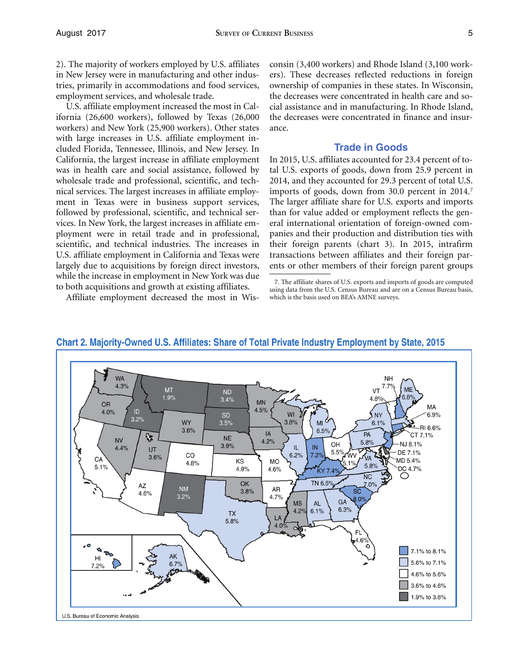U.S. affiliate employment increased the most in California (26,600 workers), followed by Texas (26,000 workers) and New York (25,900 workers). Other states with large increases in U.S. affiliate employment included Florida, Tennessee, Illinois, and New Jersey. In California, the largest increase in affiliate employment was in health care and social assistance, followed by wholesale trade and professional, scientific, and technical services. The largest increases in affiliate employment in Texas were in business support services, followed by professional, scientific, and technical services. In New York, the largest increases in affiliate employment were in retail trade and in professional, scientific, and technical industries. The increases in U.S. affiliate employment in California and Texas were largely due to acquisitions by foreign direct investors, while the increase in employment in New York was due to both acquisitions and growth at existing affiliates.

Affiliate employment decreased the most in Wis-

consin (3,400 workers) and Rhode Island (3,100 workers). These decreases reflected reductions in foreign ownership of companies in these states. In Wisconsin, the decreases were concentrated in health care and social assistance and in manufacturing. In Rhode Island, the decreases were concentrated in finance and insurance.

#### **Trade in Goods**

 tal U.S. exports of goods, down from 25.9 percent in In 2015, U.S. affiliates accounted for 23.4 percent of to-2014, and they accounted for 29.3 percent of total U.S. imports of goods, down from 30.0 percent in 2014.<sup>7</sup> The larger affiliate share for U.S. exports and imports than for value added or employment reflects the general international orientation of foreign-owned companies and their production and distribution ties with their foreign parents (chart 3). In 2015, intrafirm transactions between affiliates and their foreign parents or other members of their foreign parent groups



### Chart 2. Majority-Owned U.S. Affiliates: Share of Total Private Industry Employment by State, 2015

<sup>7.</sup> The affiliate shares of U.S. exports and imports of goods are computed using data from the U.S. Census Bureau and are on a Census Bureau basis, which is the basis used on BEA's AMNE surveys.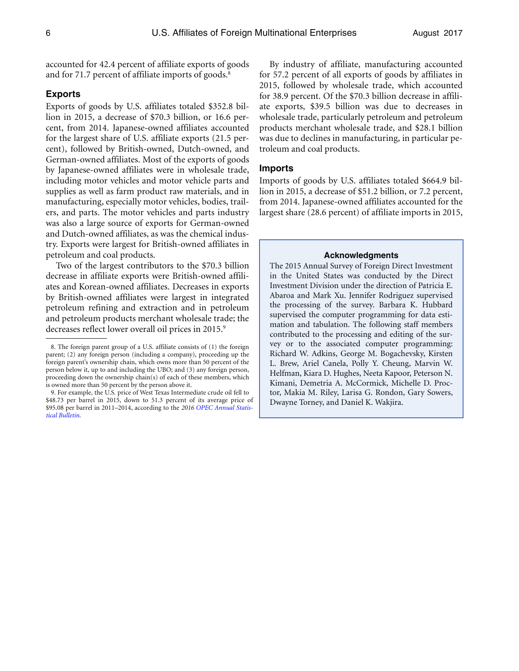accounted for 42.4 percent of affiliate exports of goods and for 71.7 percent of affiliate imports of goods.<sup>8</sup>

#### **Exports**

Exports of goods by U.S. affiliates totaled \$352.8 billion in 2015, a decrease of \$70.3 billion, or 16.6 percent, from 2014. Japanese-owned affiliates accounted for the largest share of U.S. affiliate exports (21.5 percent), followed by British-owned, Dutch-owned, and German-owned affiliates. Most of the exports of goods by Japanese-owned affiliates were in wholesale trade, including motor vehicles and motor vehicle parts and supplies as well as farm product raw materials, and in manufacturing, especially motor vehicles, bodies, trailers, and parts. The motor vehicles and parts industry was also a large source of exports for German-owned and Dutch-owned affiliates, as was the chemical industry. Exports were largest for British-owned affiliates in petroleum and coal products.

Two of the largest contributors to the \$70.3 billion decrease in affiliate exports were British-owned affiliates and Korean-owned affiliates. Decreases in exports by British-owned affiliates were largest in integrated petroleum refining and extraction and in petroleum and petroleum products merchant wholesale trade; the decreases reflect lower overall oil prices in 2015.<sup>9</sup>

By industry of affiliate, manufacturing accounted for 57.2 percent of all exports of goods by affiliates in 2015, followed by wholesale trade, which accounted for 38.9 percent. Of the \$70.3 billion decrease in affiliate exports, \$39.5 billion was due to decreases in wholesale trade, particularly petroleum and petroleum products merchant wholesale trade, and \$28.1 billion was due to declines in manufacturing, in particular petroleum and coal products.

#### **Imports**

Imports of goods by U.S. affiliates totaled \$664.9 billion in 2015, a decrease of \$51.2 billion, or 7.2 percent, from 2014. Japanese-owned affiliates accounted for the largest share (28.6 percent) of affiliate imports in 2015,

#### **Acknowledgments**

The 2015 Annual Survey of Foreign Direct Investment in the United States was conducted by the Direct Investment Division under the direction of Patricia E. Abaroa and Mark Xu. Jennifer Rodriguez supervised the processing of the survey. Barbara K. Hubbard supervised the computer programming for data estimation and tabulation. The following staff members contributed to the processing and editing of the survey or to the associated computer programming: Richard W. Adkins, George M. Bogachevsky, Kirsten L. Brew, Ariel Canela, Polly Y. Cheung, Marvin W. Helfman, Kiara D. Hughes, Neeta Kapoor, Peterson N. Kimani, Demetria A. McCormick, Michelle D. Proctor, Makia M. Riley, Larisa G. Rondon, Gary Sowers, Dwayne Torney, and Daniel K. Wakjira.

<sup>8.</sup> The foreign parent group of a U.S. affiliate consists of (1) the foreign parent; (2) any foreign person (including a company), proceeding up the foreign parent's ownership chain, which owns more than 50 percent of the person below it, up to and including the UBO; and (3) any foreign person, proceeding down the ownership chain(s) of each of these members, which is owned more than 50 percent by the person above it.

<sup>9.</sup> For example, the U.S. price of West Texas Intermediate crude oil fell to \$48.73 per barrel in 2015, down to 51.3 percent of its average price of \$95.08 per barrel in 2011–2014, according to the *[2016 OPEC Annual Statis](http://www.opec.org/opec_web/static_files_project/media/downloads/publications/ASB2016.pdf)[tical Bulletin](http://www.opec.org/opec_web/static_files_project/media/downloads/publications/ASB2016.pdf)*.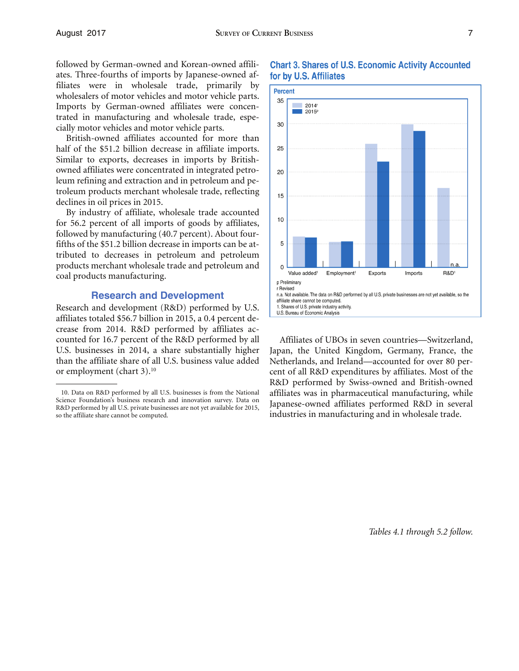followed by German-owned and Korean-owned affiliates. Three-fourths of imports by Japanese-owned affiliates were in wholesale trade, primarily by wholesalers of motor vehicles and motor vehicle parts. Imports by German-owned affiliates were concentrated in manufacturing and wholesale trade, especially motor vehicles and motor vehicle parts.

British-owned affiliates accounted for more than half of the \$51.2 billion decrease in affiliate imports. Similar to exports, decreases in imports by Britishowned affiliates were concentrated in integrated petroleum refining and extraction and in petroleum and petroleum products merchant wholesale trade, reflecting declines in oil prices in 2015.

By industry of affiliate, wholesale trade accounted for 56.2 percent of all imports of goods by affiliates, followed by manufacturing (40.7 percent). About fourfifths of the \$51.2 billion decrease in imports can be attributed to decreases in petroleum and petroleum products merchant wholesale trade and petroleum and coal products manufacturing.

#### **Research and Development**

Research and development (R&D) performed by U.S. affiliates totaled \$56.7 billion in 2015, a 0.4 percent decrease from 2014. R&D performed by affiliates accounted for 16.7 percent of the R&D performed by all Affiliates of UBOs in seven countries—Switzerland, U.S. businesses in 2014, a share substantially higher Japan, the United Kingdom, Germany, France, the



#### **Chart 3. Shares of U.S. Economic Activity Accounted** for by U.S. Affiliates

U.S. businesses in 2014, a share substantially higher Japan, the United Kingdom, Germany, France, the than the affiliate share of all U.S. business value added Netherlands, and Ireland—accounted for over 80 per-Netherlands, and Ireland—accounted for over 80 peror employment (chart 3).<sup>10</sup> cent of all R&D expenditures by affiliates. Most of the R&D performed by Swiss-owned and British-owned 10. Data on R&D performed by all U.S. businesses is from the National affiliates was in pharmaceutical manufacturing, while<br>Science Foundation's business research and innovation survey. Data on<br>R&D performed by all U.S. pr

*Tables 4.1 through 5.2 follow.* 

<sup>10.</sup> Data on R&D performed by all U.S. businesses is from the National Science Foundation's business research and innovation survey. Data on so the affiliate share cannot be computed. industries in manufacturing and in wholesale trade.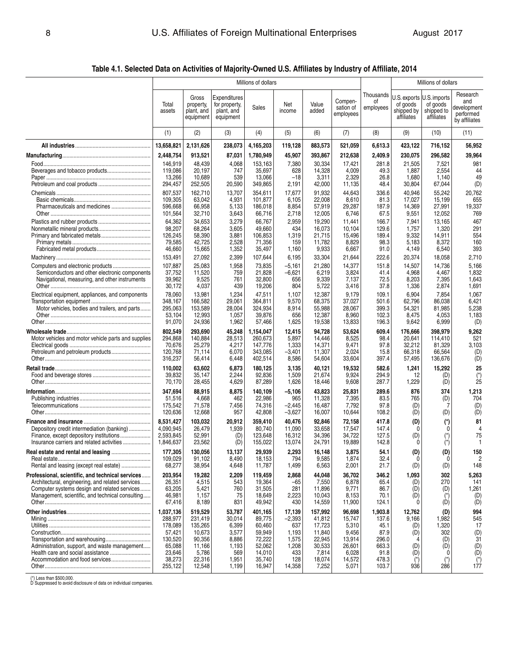**Table 4.1. Selected Data on Activities of Majority-Owned U.S. Affiliates by Industry of Affiliate, 2014** 

|                                                                                                  | Millions of dollars    |                                               |                                                          |                    |                  |                  |                                   |                              | Millions of dollars                                  |                                                      |                                                              |
|--------------------------------------------------------------------------------------------------|------------------------|-----------------------------------------------|----------------------------------------------------------|--------------------|------------------|------------------|-----------------------------------|------------------------------|------------------------------------------------------|------------------------------------------------------|--------------------------------------------------------------|
|                                                                                                  | Total<br>assets        | Gross<br>property,<br>plant, and<br>equipment | Expenditures<br>for property,<br>plant, and<br>equipment | Sales              | Net<br>income    | Value<br>added   | Compen-<br>sation of<br>employees | Thousands<br>οf<br>employees | J.S. exports<br>of goods<br>shipped by<br>affiliates | U.S. imports<br>of goods<br>shipped to<br>affiliates | Research<br>and<br>development<br>performed<br>by affiliates |
|                                                                                                  | (1)                    | (2)                                           | (3)                                                      | (4)                | (5)              | (6)              | (7)                               | (8)                          | (9)                                                  | (10)                                                 | (11)                                                         |
|                                                                                                  | 13,658,821             | 2,131,626                                     | 238,073                                                  | 4,165,203          | 119,128          | 883,573          | 521,059                           | 6,613.3                      | 423,122                                              | 716,152                                              | 56,952                                                       |
|                                                                                                  | 2,448,754              | 913,521                                       | 87,031                                                   | 1,780,949          | 45,907           | 393,867          | 212,638                           | 2,409.9                      | 230,075                                              | 296,582                                              | 39,964                                                       |
|                                                                                                  | 146,919                | 48,439                                        | 4,068                                                    | 153,163            | 7,380            | 30,334           | 17,421                            | 281.8                        | 21,505                                               | 7,521                                                | 981                                                          |
|                                                                                                  | 119.086<br>13,266      | 20,197<br>10,689                              | 747<br>539                                               | 35,697<br>13,066   | 628<br>$-18$     | 14,328<br>3,311  | 4,009<br>2,329                    | 49.3<br>26.8                 | 1,887<br>1,680                                       | 2,554<br>1,140                                       | 44<br>49                                                     |
|                                                                                                  | 294,457                | 252,505                                       | 20,590                                                   | 349,865            | 2,191            | 42,000           | 11,135                            | 48.4                         | 30,804                                               | 67,044                                               | (D)                                                          |
|                                                                                                  | 807,537                | 162,710                                       | 13,707                                                   | 354,611            | 17,677           | 91,932           | 44,643                            | 336.6                        | 40,946                                               | 55,242                                               | 20,762                                                       |
|                                                                                                  | 109,305                | 63,042                                        | 4,931                                                    | 101,877            | 6,105            | 22,008           | 8,610                             | 81.3                         | 17,027                                               | 15,199                                               | 655                                                          |
|                                                                                                  | 596,668<br>101,564     | 66,958<br>32,710                              | 5,133<br>3,643                                           | 186,018<br>66,716  | 8,854<br>2,718   | 57,919<br>12,005 | 29,287<br>6,746                   | 187.9<br>67.5                | 14,369<br>9,551                                      | 27,991<br>12,052                                     | 19,337<br>769                                                |
|                                                                                                  | 64,362                 | 34,653                                        | 3,279                                                    | 66,767             | 2,959            | 19,290           | 11,441                            | 166.7                        | 7,941                                                | 13,165                                               | 467                                                          |
|                                                                                                  | 98,207                 | 68,264                                        | 3,605                                                    | 49,660             | 434              | 16,073           | 10,104                            | 129.6                        | 1,757                                                | 1,320                                                | 291                                                          |
|                                                                                                  | 126,245                | 58,390                                        | 3,881                                                    | 106,853            | 1,319            | 21,715           | 15,496                            | 189.4                        | 9,332                                                | 14,911                                               | 554                                                          |
|                                                                                                  | 79,585<br>46,660       | 42,725                                        | 2,528                                                    | 71,356<br>35,497   | 159              | 11,782<br>9,933  | 8,829                             | 98.3<br>91.0                 | 5,183                                                | 8,372                                                | 160<br>393                                                   |
|                                                                                                  | 153,491                | 15,665<br>27,092                              | 1,352<br>2,399                                           | 107,644            | 1,160<br>6,195   | 33,304           | 6,667<br>21,644                   | 222.6                        | 4,149<br>20,374                                      | 6,540<br>18,058                                      | 2,710                                                        |
|                                                                                                  | 107,887                | 25,083                                        | 1,958                                                    | 73,835             | $-5,161$         | 21,280           | 14,377                            | 151.8                        | 14,507                                               | 14,736                                               | 5,166                                                        |
| Semiconductors and other electronic components                                                   | 37,752                 | 11,520                                        | 759                                                      | 21,828             | $-6,621$         | 6,219            | 3,824                             | 41.4                         | 4,968                                                | 4,467                                                | 1,832                                                        |
| Navigational, measuring, and other instruments                                                   | 39,962                 | 9,525                                         | 761                                                      | 32,800             | 656              | 9,339            | 7,137                             | 72.5                         | 8,203                                                | 7,395                                                | 1,643                                                        |
|                                                                                                  | 30,172                 | 4,037                                         | 439                                                      | 19,206             | 804              | 5,722            | 3,416                             | 37.8                         | 1,336                                                | 2,874                                                | 1,691                                                        |
| Electrical equipment, appliances, and components                                                 | 78,060<br>348,167      | 13,981<br>166,582                             | 1,234<br>29,061                                          | 47,511<br>364,811  | 1,107<br>9,570   | 12,387<br>68,375 | 9,179<br>37,027                   | 109.1<br>501.6               | 6,904<br>62,796                                      | 7,854<br>86,038                                      | 1,067<br>6,421                                               |
| Motor vehicles, bodies and trailers, and parts                                                   | 295,063                | 153,589                                       | 28,004                                                   | 324,934            | 8,914            | 55,988           | 28,067                            | 399.3                        | 54,321                                               | 81,985                                               | 5,238                                                        |
|                                                                                                  | 53,104                 | 12,993                                        | 1,057                                                    | 39,876             | 656              | 12,387           | 8,960                             | 102.3                        | 8,475                                                | 4,053                                                | 1,183                                                        |
|                                                                                                  | 91,070                 | 24,936                                        | 1,962                                                    | 57,466             | 1,625            | 19,538           | 13,833                            | 196.3                        | 9,642                                                | 6,999                                                | (D)                                                          |
|                                                                                                  | 802,549                | 293,690                                       | 45,248                                                   | 1,154,047          | 12,415           | 94,728           | 53,624                            | 609.4                        | 176,666                                              | 398,979                                              | 9,262                                                        |
| Motor vehicles and motor vehicle parts and supplies                                              | 294,868<br>70,676      | 140,884<br>25,279                             | 28,513<br>4,217                                          | 260,673<br>147,776 | 5,897<br>1,333   | 14,446<br>14,371 | 8,525<br>9,471                    | 98.4<br>97.8                 | 20,641<br>32,212                                     | 114,410<br>81,329                                    | 521<br>3,103                                                 |
|                                                                                                  | 120,768                | 71,114                                        | 6,070                                                    | 343,085            | $-3,401$         | 11,307           | 2,024                             | 15.8                         | 66,318                                               | 66,564                                               | (D)                                                          |
|                                                                                                  | 316,237                | 56,414                                        | 6,448                                                    | 402,514            | 8,586            | 54,604           | 33,604                            | 397.4                        | 57,495                                               | 136,676                                              | (D)                                                          |
|                                                                                                  | 110,002                | 63,602                                        | 6,873                                                    | 180,125            | 3,135            | 40,121           | 19,532                            | 582.6                        | 1,241                                                | 15,292                                               | 25                                                           |
|                                                                                                  | 39,832                 | 35,147                                        | 2,244                                                    | 92,836             | 1,509            | 21,674           | 9,924                             | 294.9                        | 12                                                   | (D)                                                  | $\binom{*}{25}$                                              |
|                                                                                                  | 70,170                 | 28,455                                        | 4,629                                                    | 87,289             | 1,626            | 18,446           | 9,608                             | 287.7                        | 1,229                                                | (D)                                                  |                                                              |
|                                                                                                  | 347,694<br>51,516      | 88,915<br>4,668                               | 8,875<br>462                                             | 140,109<br>22,986  | $-5,106$<br>965  | 43,823<br>11,328 | 25,831<br>7,395                   | 289.6<br>83.5                | 876<br>765                                           | 374<br>(D)                                           | 1,213<br>704                                                 |
|                                                                                                  | 175,542                | 71,578                                        | 7,456                                                    | 74,316             | $-2,445$         | 16,487           | 7,792                             | 97.8                         | (D)                                                  | 7                                                    | (D)                                                          |
|                                                                                                  | 120,636                | 12,668                                        | 957                                                      | 42,808             | $-3,627$         | 16,007           | 10,644                            | 108.2                        | (D)                                                  | (D)                                                  | (D)                                                          |
|                                                                                                  | 8,531,427              | 103,032                                       | 20,912                                                   | 359,410            | 40,476           | 92,846           | 72,158                            | 417.8                        | (D)                                                  | (*)                                                  | 81                                                           |
| Depository credit intermediation (banking)                                                       | 4,090,945              | 26,479                                        | 1,939                                                    | 80,740             | 11,090           | 33,658           | 17,547                            | 147.4                        | 0                                                    | 0                                                    | 4                                                            |
| Insurance carriers and related activities                                                        | 2.593.845<br>1,846,637 | 52,991<br>23,562                              | (D)<br>(D)                                               | 123,648<br>155,022 | 16,312<br>13,074 | 34,396<br>24,791 | 34,722<br>19,889                  | 127.5<br>142.8               | (D)<br>0                                             | $(*)$<br>$(*)$                                       | 75<br>$\mathbf{1}$                                           |
|                                                                                                  | 177,305                | 130,056                                       | 13,137                                                   | 29,939             | 2,293            | 16,148           | 3,875                             | 54.1                         | (D)                                                  | (D)                                                  | 150                                                          |
|                                                                                                  | 109.029                | 91,102                                        | 8,490                                                    | 18,153             | 794              | 9,585            | 1,874                             | 32.4                         | 0                                                    | 0                                                    | 2                                                            |
|                                                                                                  | 68,277                 | 38,954                                        | 4,648                                                    | 11,787             | 1,499            | 6,563            | 2,001                             | 21.7                         | (D)                                                  | (D)                                                  | 148                                                          |
| Professional, scientific, and technical services                                                 | 203,954                | 19,282                                        | 2,209                                                    | 119,459            | 2,868            | 44,048           | 36,702                            | 346.2                        | 1,093                                                | 302                                                  | 5,263                                                        |
| Architectural, engineering, and related services                                                 | 26,351                 | 4,515                                         | 543<br>760                                               | 19,364             | -65              | 7,550            | 6,878                             | 65.4                         | (D)                                                  | 270                                                  | 141                                                          |
| Computer systems design and related services<br>Management, scientific, and technical consulting | 63,205<br>46,981       | 5,421<br>1,157                                | 75                                                       | 31,505<br>18,649   | 281<br>2,223     | 11,896<br>10,043 | 9,771<br>8,153                    | 86.7<br>70.1                 | (D)<br>(D)                                           | (D)<br>$(*)$                                         | 1,261<br>(D)                                                 |
|                                                                                                  | 67,416                 | 8,189                                         | 831                                                      | 49,942             | 430              | 14,559           | 11,900                            | 124.1                        | ŋ                                                    | (D)                                                  | (D)                                                          |
|                                                                                                  | 1,037,136              | 519,529                                       | 53,787                                                   | 401,165            | 17,139           | 157,992          | 96,698                            | 1,903.8                      | 12,762                                               | (D)                                                  | 994                                                          |
|                                                                                                  | 288,977                | 231,419                                       | 30,014                                                   | 89,775             | $-2,393$         | 41,812           | 15,747                            | 137.6                        | 9,166                                                | 1,982                                                | 545                                                          |
|                                                                                                  | 178,089<br>57,421      | 135,265<br>10,673                             | 6,399                                                    | 60,460<br>59,949   | 637<br>1,193     | 17,723<br>11,840 | 5,310<br>9,456                    | 45.1<br>87.9                 | (D)<br>(D)                                           | 1,320<br>302                                         | 17<br>(D)                                                    |
|                                                                                                  | 130,520                | 90,356                                        | 3,577<br>8,886                                           | 72,222             | 1,575            | 22,945           | 13,914                            | 296.0                        |                                                      | (D)                                                  | 31                                                           |
| Administration, support, and waste management                                                    | 65,088                 | 11,166                                        | 1,193                                                    | 52,062             | 1,208            | 30,533           | 26,601                            | 663.3                        | (D)                                                  | (D)                                                  | (D)                                                          |
|                                                                                                  | 23,646                 | 5,786                                         | 569                                                      | 14,010             | 433              | 7,814            | 6,028                             | 91.8                         | (D)                                                  | 0                                                    | (D)                                                          |
|                                                                                                  | 38,273<br>255,122      | 22,316<br>12,548                              | 1,951<br>1,199                                           | 35,740<br>16,947   | 128<br>14,358    | 18,074<br>7,252  | 14,572<br>5,071                   | 478.3<br>103.7               | $(\dot{z})$<br>936                                   | $(*)$<br>286                                         | $(\dot{z})$<br>177                                           |
|                                                                                                  |                        |                                               |                                                          |                    |                  |                  |                                   |                              |                                                      |                                                      |                                                              |

(\*) Less than \$500,000. D Suppressed to avoid disclosure of data on individual companies.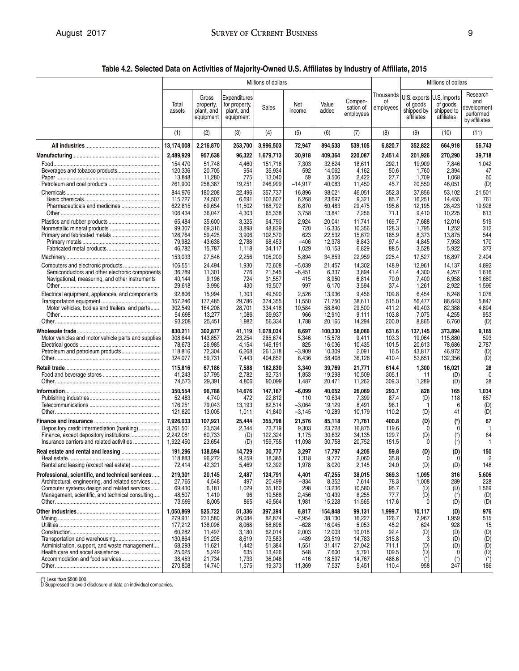**Table 4.2. Selected Data on Activities of Majority-Owned U.S. Affiliates by Industry of Affiliate, 2015** 

|                                                                                                  | Millions of dollars          |                                               |                                                          |                                 |                       |                             |                                   |                              | Millions of dollars                                               |                                      |                                                              |  |
|--------------------------------------------------------------------------------------------------|------------------------------|-----------------------------------------------|----------------------------------------------------------|---------------------------------|-----------------------|-----------------------------|-----------------------------------|------------------------------|-------------------------------------------------------------------|--------------------------------------|--------------------------------------------------------------|--|
|                                                                                                  | Total<br>assets              | Gross<br>property,<br>plant, and<br>equipment | Expenditures<br>for property,<br>plant, and<br>equipment | Sales                           | Net<br>income         | Value<br>added              | Compen-<br>sation of<br>employees | Thousands<br>οf<br>employees | U.S. exports U.S. imports<br>of goods<br>shipped by<br>affiliates | of goods<br>shipped to<br>affiliates | Research<br>and<br>development<br>performed<br>by affiliates |  |
|                                                                                                  | (1)                          | (2)                                           | (3)                                                      | (4)                             | (5)                   | (6)                         | (7)                               | (8)                          | (9)                                                               | (10)                                 | (11)                                                         |  |
|                                                                                                  | 13,174,008                   | 2,216,870                                     | 253,700                                                  | 3,996,503                       | 72,947                | 894,533                     | 539,105                           | 6,820.7                      | 352,822                                                           | 664,918                              | 56,743                                                       |  |
|                                                                                                  | 2,489,929                    | 957,638                                       | 96,322                                                   | 1,679,713                       | 30,918                | 409,364                     | 220,087                           | 2,451.4                      | 201,926                                                           | 270,290                              | 39,718                                                       |  |
| Food<br>Beverages and tobacco products                                                           | 154,470<br>120,336           | 51,748<br>20,705                              | 4,460<br>954                                             | 151,716<br>35,934               | 7,303<br>592          | 32,624<br>14,062            | 18,611<br>4,162                   | 292.1<br>50.6                | 19,909<br>1,760                                                   | 7,846<br>2,394                       | 1,042<br>47                                                  |  |
|                                                                                                  | 13,848                       | 11,280                                        | 775                                                      | 13,040                          | 59                    | 3,506                       | 2,422                             | 27.7                         | 1,709                                                             | 1,068                                | 60                                                           |  |
|                                                                                                  | 261,900                      | 258,387                                       | 19,251                                                   | 246,999                         | $-14,917$             | 40,083                      | 11,450                            | 45.7                         | 20,550                                                            | 46,051                               | (D)                                                          |  |
|                                                                                                  | 844,976                      | 180,208                                       | 22,496                                                   | 357,737                         | 16,896                | 98,021                      | 46,051                            | 352.3                        | 37,856                                                            | 53,102                               | 21,501                                                       |  |
|                                                                                                  | 115,727<br>622,815           | 74,507<br>69,654                              | 6,691<br>11,502                                          | 103,607<br>188,792              | 6,268<br>6,870        | 23,697<br>60,483            | 9,321<br>29,475                   | 85.7<br>195.6                | 16,251<br>12,195                                                  | 14,455<br>28,423                     | 761<br>19,928                                                |  |
|                                                                                                  | 106,434                      | 36,047                                        | 4,303                                                    | 65,338                          | 3,758                 | 13,841                      | 7,256                             | 71.1                         | 9,410                                                             | 10,225                               | 813                                                          |  |
|                                                                                                  | 65,484                       | 35,600                                        | 3,325                                                    | 64,790                          | 2,924                 | 20,041                      | 11,741                            | 169.7                        | 7,688                                                             | 12,016                               | 519                                                          |  |
|                                                                                                  | 99,307<br>126,764            | 69,316<br>59,425                              | 3,898<br>3,906                                           | 48,839<br>102,570               | 720<br>623            | 16,335<br>22,532            | 10,356<br>15,672                  | 128.3<br>185.9               | 1,795<br>8,373                                                    | 1,252<br>13,875                      | 312<br>544                                                   |  |
|                                                                                                  | 79,982                       | 43,638                                        | 2,788                                                    | 68,453                          | $-406$                | 12,378                      | 8,843                             | 97.4                         | 4,845                                                             | 7,953                                | 170                                                          |  |
|                                                                                                  | 46,782                       | 15,787                                        | 1,118                                                    | 34,117                          | 1,029                 | 10,153                      | 6,829                             | 88.5                         | 3,528                                                             | 5,922                                | 373                                                          |  |
|                                                                                                  | 153,033                      | 27,546                                        | 2,256                                                    | 105,200                         | 5,894                 | 34,853                      | 22,959                            | 225.4                        | 17,527                                                            | 16,897                               | 2,404                                                        |  |
|                                                                                                  | 106,551                      | 24,494                                        | 1,930                                                    | 72,608                          | $-5,039$              | 21,457                      | 14,302                            | 148.9                        | 12,961                                                            | 14,137                               | 4,892                                                        |  |
| Semiconductors and other electronic components<br>Navigational, measuring, and other instruments | 36,789<br>40,144             | 11,301<br>9,196                               | 776<br>724                                               | 21,545<br>31,557                | $-6,451$<br>415       | 6,337<br>8,950              | 3,894<br>6,814                    | 41.4<br>70.0                 | 4,300<br>7,400                                                    | 4,257<br>6,958                       | 1,616<br>1,680                                               |  |
|                                                                                                  | 29,618                       | 3,996                                         | 430                                                      | 19,507                          | 997                   | 6,170                       | 3,594                             | 37.4                         | 1,261                                                             | 2,922                                | 1,596                                                        |  |
| Electrical equipment, appliances, and components                                                 | 92,806                       | 15,994                                        | 1,303                                                    | 49,590                          | 2,526                 | 13,936                      | 9,456                             | 109.8                        | 6,454                                                             | 8,248                                | 1,076                                                        |  |
| Motor vehicles, bodies and trailers, and parts                                                   | 357,246<br>302,549           | 177,485<br>164,208                            | 29,786<br>28,701                                         | 374,355<br>334,418              | 11,550<br>10,584      | 71,750<br>58,840            | 38,611<br>29,500                  | 515.0<br>411.2               | 56,477<br>49,403                                                  | 86,643<br>82,388                     | 5,847<br>4,894                                               |  |
|                                                                                                  | 54,698                       | 13,277                                        | 1,086                                                    | 39,937                          | 966                   | 12,910                      | 9,111                             | 103.8                        | 7,075                                                             | 4,255                                | 953                                                          |  |
|                                                                                                  | 93,208                       | 25,451                                        | 1,982                                                    | 56,334                          | 1,788                 | 20,165                      | 14,294                            | 200.0                        | 8,865                                                             | 6,760                                | (D)                                                          |  |
| Motor vehicles and motor vehicle parts and supplies                                              | 830,211<br>308,644<br>78,673 | 302,877<br>143,857<br>26,985                  | 41,119<br>23,254<br>4,154                                | 1,078,034<br>265,674<br>146,191 | 8,697<br>5,346<br>825 | 100,330<br>15,578<br>16,036 | 58,066<br>9,411<br>10,435         | 631.6<br>103.3<br>101.5      | 137,145<br>19,064<br>20,613                                       | 373,894<br>115,880<br>78,686         | 9,165<br>593<br>2,787                                        |  |
|                                                                                                  | 118,816<br>324,077           | 72,304<br>59,731                              | 6,268<br>7,443                                           | 261,318<br>404,852              | $-3,909$<br>6,436     | 10,309<br>58,408            | 2,091<br>36,128                   | 16.5<br>410.4                | 43,817<br>53,651                                                  | 46,972<br>132,356                    | (D)<br>(D)                                                   |  |
|                                                                                                  | 115,816                      | 67,186                                        | 7,588                                                    | 182,830                         | 3,340                 | 39,769                      | 21,771                            | 614.4                        | 1,300                                                             | 16,021                               | 28                                                           |  |
|                                                                                                  | 41,243                       | 37,795                                        | 2,782                                                    | 92,731                          | 1,853                 | 19,298                      | 10,509                            | 305.1                        | 11                                                                | (D)                                  | $\mathbf{0}$                                                 |  |
|                                                                                                  | 74,573                       | 29,391                                        | 4,806                                                    | 90,099                          | 1,487                 | 20,471                      | 11,262                            | 309.3                        | 1,289                                                             | (D)                                  | 28                                                           |  |
|                                                                                                  | 350,554                      | 96,788                                        | 14,676                                                   | 147,167                         | $-6,099$              | 40,052                      | 26,069                            | 293.7                        | 828                                                               | 165                                  | 1,034                                                        |  |
|                                                                                                  | 52,483<br>176,251            | 4,740<br>79,043                               | 472<br>13,193                                            | 22,812<br>82,514                | 110<br>$-3,064$       | 10,634<br>19,129            | 7,399<br>8,491                    | 87.4<br>96.1                 | (D)                                                               | 118<br>6                             | 657<br>(D)                                                   |  |
|                                                                                                  | 121,820                      | 13,005                                        | 1,011                                                    | 41,840                          | $-3,145$              | 10,289                      | 10,179                            | 110.2                        | (D)                                                               | 41                                   | (D)                                                          |  |
|                                                                                                  | 7,926,033                    | 107,921                                       | 25,444                                                   | 355,798                         | 21,576                | 85,118                      | 71,761                            | 400.8                        | (D)                                                               | (*)                                  | 67                                                           |  |
| Depository credit intermediation (banking)                                                       | 3,761,501<br>2,242,081       | 23,534                                        | 2,344                                                    | 73,719                          | 9,303<br>1,175        | 23,728<br>30,632            | 16,875<br>34,135                  | 119.6<br>129.7               | $\mathbf{0}$<br>(D)                                               | n                                    | -1<br>64                                                     |  |
| Insurance carriers and related activities                                                        | 1,922,450                    | 60,733<br>23,654                              | (D)<br>(D)                                               | 122,324<br>159,755              | 11,098                | 30,758                      | 20,752                            | 151.5                        | 0                                                                 | (*)                                  | $\mathbf{1}$                                                 |  |
|                                                                                                  | 191,296                      | 138,594                                       | 14,729                                                   | 30,777                          | 3,297                 | 17,797                      | 4,205                             | 59.8                         | (D)                                                               | (D)                                  | 150                                                          |  |
| Rental and leasing (except real estate)                                                          | 118,883<br>72,414            | 96,272<br>42,321                              | 9,259<br>5,469                                           | 18,385<br>12,392                | 1,318<br>1,978        | 9, 111<br>8,020             | 2,060<br>2,145                    | 35.8<br>24.0                 | U<br>(D)                                                          | 0<br>(D)                             | 2<br>148                                                     |  |
| Professional, scientific, and technical services                                                 | 219,301                      | 20,145                                        | 2,487                                                    | 124,791                         | 4,401                 | 47,255                      | 38,015                            | 369.3                        | 1,095                                                             | 316                                  | 5,606                                                        |  |
| Architectural, engineering, and related services                                                 | 27,765                       | 4,548                                         | 497                                                      | 20,499                          | $-334$                | 8,352                       | 7,614                             | 78.3                         | 1,008                                                             | 289                                  | 228                                                          |  |
| Computer systems design and related services<br>Management, scientific, and technical consulting | 69,430<br>48,507             | 6,181<br>1,410                                | 1,029<br>96                                              | 35,160<br>19,568                | 298<br>2,456          | 13,236<br>10,439            | 10,580<br>8,255                   | 95.7<br>77.7                 | (D)<br>(D)                                                        | (D)                                  | 1,569<br>(D)                                                 |  |
|                                                                                                  | 73,599                       | 8,005                                         | 865                                                      | 49,564                          | 1,981                 | 15,228                      | 11,565                            | 117.6                        | $\Omega$                                                          | (D)                                  | (D)                                                          |  |
|                                                                                                  | 1.050.869                    | 525,722                                       | 51,336                                                   | 397,394                         | 6,817                 | 154,848                     | 99,131                            | 1,999.7                      | 10,117                                                            | (D)                                  | 976                                                          |  |
|                                                                                                  | 279,931                      | 231,580                                       | 26,084                                                   | 82,874                          | $-7,954$              | 38,130                      | 16,227                            | 126.7                        | 7,967                                                             | 1,959                                | 515                                                          |  |
|                                                                                                  | 177,212<br>60,282            | 138,096<br>11,497                             | 8,068<br>3,180                                           | 58,696<br>62,014                | $-628$<br>2,003       | 16,045<br>12,003            | 5,053<br>10,018                   | 45.2<br>92.4                 | 624<br>(D)                                                        | 928<br>(D)                           | 15<br>(D)                                                    |  |
|                                                                                                  | 130,864                      | 91,205                                        | 8,619                                                    | 73,583                          | $-489$                | 23,519                      | 14,783                            | 315.8                        | 3                                                                 | (D)                                  | (D)                                                          |  |
| Administration, support, and waste management                                                    | 68,293                       | 11,621                                        | 1,442                                                    | 51,384                          | 1,551                 | 31,417                      | 27,042                            | 711.1                        | (D)                                                               | (D)                                  | (D)                                                          |  |
| Accommodation and food services                                                                  | 25,025<br>38,453             | 5,249<br>21,734                               | 635<br>1,733                                             | 13,426<br>36,046                | 548<br>416            | 7,600<br>18,597             | 5,791<br>14,767                   | 109.5<br>488.6               | (D)<br>$(\dot{\phantom{a}})$                                      | $($ *)                               | (D)<br>$(*)$                                                 |  |
|                                                                                                  | 270,808                      | 14,740                                        | 1,575                                                    | 19,373                          | 11,369                | 7,537                       | 5,451                             | 110.4                        | 958                                                               | 247                                  | 186                                                          |  |

(\*) Less than \$500,000. D Suppressed to avoid disclosure of data on individual companies.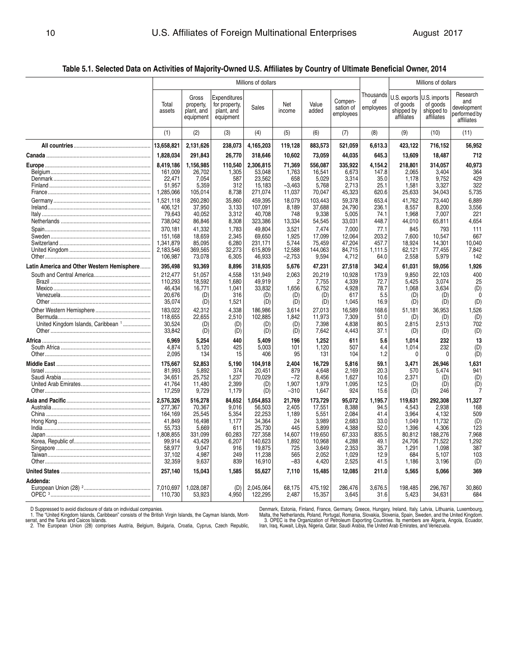**Table 5.1. Selected Data on Activities of Majority-Owned U.S. Affiliates by Country of Ultimate Beneficial Owner, 2014** 

|                                                | Millions of dollars  |                                               |                                                          |                      |                 |                   |                                   |                              | Millions of dollars                                  |                                                      |                                                              |  |
|------------------------------------------------|----------------------|-----------------------------------------------|----------------------------------------------------------|----------------------|-----------------|-------------------|-----------------------------------|------------------------------|------------------------------------------------------|------------------------------------------------------|--------------------------------------------------------------|--|
|                                                | Total<br>assets      | Gross<br>property,<br>plant, and<br>equipment | Expenditures<br>for property,<br>plant, and<br>equipment | Sales                | Net<br>income   | Value<br>added    | Compen-<br>sation of<br>employees | Thousands<br>οf<br>employees | U.S. exports<br>of goods<br>shipped by<br>affiliates | U.S. imports<br>of goods<br>shipped to<br>affiliates | Research<br>and<br>development<br>performed by<br>affiliates |  |
|                                                | (1)                  | (2)                                           | (3)                                                      | (4)                  | (5)             | (6)               | (7)                               | (8)                          | (9)                                                  | (10)                                                 | (11)                                                         |  |
|                                                | 13,658,821           | 2,131,626                                     | 238,073                                                  | 4,165,203            | 119,128         | 883,573           | 521,059                           | 6,613.3                      | 423,122                                              | 716,152                                              | 56,952                                                       |  |
|                                                | 1,828,034            | 291,843                                       | 26,770                                                   | 318,646              | 10,602          | 73,059            | 44,035                            | 645.3                        | 13,609                                               | 18,487                                               | 712                                                          |  |
|                                                | 8,419,186            | 1,156,985                                     | 110,540                                                  | 2,306,815            | 71,369          | 556,087           | 335,922                           | 4,154.2                      | 218,801                                              | 314,057                                              | 40,973                                                       |  |
|                                                | 161,009              | 26,702                                        | 1,305                                                    | 53,048               | 1,763           | 16,541            | 6,673                             | 147.8                        | 2,065                                                | 3,404                                                | 364                                                          |  |
|                                                | 22,471               | 7,054                                         | 587                                                      | 23,562               | 658             | 5,029             | 3,314                             | 35.0                         | 1,178                                                | 9,752                                                | 429                                                          |  |
|                                                | 51,957               | 5,359                                         | 312                                                      | 15,183               | $-3,463$        | 5,768             | 2,713                             | 25.1                         | 1,581                                                | 3,327                                                | 322                                                          |  |
|                                                | 1,285,066            | 105,014                                       | 8,738                                                    | 271,074              | 11,037          | 70,047            | 45,323                            | 620.6                        | 25,633                                               | 34,043                                               | 5,735                                                        |  |
|                                                | 1,521,118            | 260,280                                       | 35,860                                                   | 459,395              | 18,079          | 103.443           | 59,378                            | 653.4                        | 41.762                                               | 73,440                                               | 6,889                                                        |  |
|                                                | 406,121              | 37,950                                        | 3,133                                                    | 107,091              | 8,189           | 37,688            | 24,790                            | 236.1                        | 8,557                                                | 8,200                                                | 3,556                                                        |  |
|                                                | 79,643               | 40,052                                        | 3,312                                                    | 40,708               | 748             | 9,338             | 5,005                             | 74.1                         | 1,968                                                | 7,007                                                | 221                                                          |  |
|                                                | 738,042              | 86,846                                        | 8,308                                                    | 323,386              | 13,334          | 54,545            | 33,031                            | 448.7                        | 44,010                                               | 65,811                                               | 4,654                                                        |  |
|                                                | 370,181              | 41,332                                        | 1,783                                                    | 49,804               | 3,521           | 7,474             | 7,000                             | 77.1                         | 845                                                  | 793                                                  | 111                                                          |  |
|                                                | 151,168              | 18,659                                        | 2,345                                                    | 69,650               | 1,925           | 17,099            | 12,064                            | 203.2                        | 7,600                                                | 10,547                                               | 667                                                          |  |
|                                                | 1,341,879            | 85,095                                        | 6,280                                                    | 231.171              | 5.744           | 75,459            | 47,204                            | 457.7                        | 18.924                                               | 14,301                                               | 10.040                                                       |  |
|                                                | 2,183,546            | 369,565                                       | 32,273                                                   | 615,809              | 12,588          | 144,063           | 84,715                            | 1,111.5                      | 62,121                                               | 77,455                                               | 7,842                                                        |  |
|                                                | 106,987              | 73,078                                        | 6,305                                                    | 46,933               | $-2,753$        | 9,594             | 4,712                             | 64.0                         | 2,558                                                | 5,979                                                | 142                                                          |  |
| Latin America and Other Western Hemisphere     | 395,498              | 93,369                                        | 8,896                                                    | 318,935              | 5,676           | 47,231            | 27,518                            | 342.4                        | 61,031                                               | 59,056                                               | 1,926                                                        |  |
|                                                | 212.477              | 51.057                                        | 4,558                                                    | 131.949              | 2,063           | 20,219            | 10,928                            | 173.9                        | 9.850                                                | 22,103                                               | 400                                                          |  |
|                                                | 110.293              | 18.592                                        | 1.680                                                    | 49.919               | $\overline{2}$  | 7.755             | 4.339                             | 72.7                         | 5.425                                                | 3.074                                                | 25                                                           |  |
|                                                | 46,434               | 16,771                                        | 1,041                                                    | 33,832               | 1,656           | 6,752             | 4,928                             | 78.7                         | 1,068                                                | 3,634                                                | (D)                                                          |  |
|                                                | 20,676               | (D)                                           | 316                                                      | (D)                  | (D)             | (D)               | 617                               | 5.5                          | (D)                                                  | (D)                                                  | $\sqrt{ }$                                                   |  |
|                                                | 35,074               | (D)                                           | 1,521                                                    | (D)                  | (D)             | (D)               | 1,045                             | 16.9                         | (D)                                                  | (D)                                                  | (D)                                                          |  |
|                                                | 183.022              | 42.312                                        | 4.338                                                    | 186.986              | 3.614           | 27,013            | 16.589                            | 168.6                        | 51,181                                               | 36,953                                               | 1,526                                                        |  |
|                                                | 118,655              | 22,655                                        | 2,510                                                    | 102,885              | 1,842           | 11,973            | 7,309                             | 51.0                         | (D)                                                  | (D)                                                  | (D)                                                          |  |
| United Kingdom Islands, Caribbean <sup>1</sup> | 30,524               | (D)                                           | (D)                                                      | (D)                  | (D)             | 7,398             | 4,838                             | 80.5                         | 2,815                                                | 2,513                                                | 702                                                          |  |
|                                                | 33,842               | (D)                                           | (D)                                                      | (D)                  | (D)             | 7,642             | 4,443                             | 37.1                         | (D)                                                  | (D)                                                  | (D)                                                          |  |
|                                                |                      |                                               |                                                          |                      |                 |                   |                                   |                              |                                                      |                                                      |                                                              |  |
| Africa                                         | 6,969<br>4,874       | 5,254<br>5.120                                | 440<br>425                                               | 5,409<br>5.003       | 196<br>101      | 1,252<br>1.120    | 611<br>507                        | 5.6<br>4.4                   | 1,014<br>1,014                                       | 232<br>232                                           | 13<br>(D)                                                    |  |
|                                                | 2,095                | 134                                           | 15                                                       | 406                  | 95              | 131               | 104                               | 1.2                          | 0                                                    | 0                                                    | (D)                                                          |  |
|                                                |                      |                                               |                                                          |                      |                 |                   |                                   |                              |                                                      |                                                      |                                                              |  |
|                                                | 175,667              | 52,853                                        | 5,190                                                    | 104,918              | 2,404           | 16,729            | 5,816                             | 59.1                         | 3,471                                                | 26,946                                               | 1,631                                                        |  |
|                                                | 81,993               | 5,892                                         | 374                                                      | 20.451               | 879             | 4.648             | 2.169                             | 20.3                         | 570                                                  | 5,474                                                | 941                                                          |  |
|                                                | 34,651               | 25,752                                        | 1,237                                                    | 70,029               | $-72$           | 8.456             | 1,627                             | 10.6                         | 2,371                                                | (D)                                                  | (D)                                                          |  |
|                                                | 41,764               | 11,480                                        | 2,399                                                    | (D)                  | 1,907           | 1,979             | 1,095                             | 12.5                         | (D)                                                  | (D)                                                  | (D)                                                          |  |
|                                                | 17,259               | 9,729                                         | 1,179                                                    | (D)                  | $-310$          | 1,647             | 924                               | 15.6                         | (D)                                                  | 246                                                  |                                                              |  |
|                                                | 2,576,326            | 516,278                                       | 84,652                                                   | 1,054,853            | 21,769          | 173,729           | 95,072                            | 1,195.7                      | 119,631                                              | 292,308                                              | 11,327                                                       |  |
|                                                | 277,367              | 70,367                                        | 9.016                                                    | 56,503               | 2.405           | 17,551            | 8.388                             | 94.5                         | 4,543                                                | 2,938                                                | 168                                                          |  |
|                                                | 164.169              | 25.545                                        | 5.354                                                    | 22.253               | 1.189           | 5,551             | 2.084                             | 41.4                         | 3.964                                                | 4.132                                                | 509                                                          |  |
|                                                | 41,849               | 16,498                                        | 1,177                                                    | 34,364               | 24              | 3,989             | 2,683                             | 33.0                         | 1,049                                                | 11,732                                               | (D)                                                          |  |
|                                                | 55,733               | 5,669                                         | 611                                                      | 25,730               | 445             | 5,899             | 4,388                             | 52.0                         | 1,396                                                | 4,306                                                | 123                                                          |  |
|                                                | 1,808,855            | 331,099                                       | 60,283                                                   | 727,358              | 14,607          | 119,650           | 67,333                            | 835.5                        | 80,812                                               | 188,276                                              | 7,968                                                        |  |
|                                                | 99,914               | 43,429                                        | 6,207                                                    | 140,623              | 1,892           | 10,968            | 4,288                             | 49.1                         | 24,706                                               | 71,522                                               | 1,292                                                        |  |
|                                                | 58,977               | 9,047                                         | 916                                                      | 19,875               | 725             | 3,649             | 2,353                             | 35.7                         | 1,291                                                | 1,098                                                | 387                                                          |  |
|                                                | 37,102               | 4,987                                         | 249                                                      | 11,238               | 565             | 2,052             | 1,029                             | 12.9                         | 684                                                  | 5,107                                                | 103                                                          |  |
|                                                | 32,359               | 9,637                                         | 839                                                      | 16,910               | $-83$           | 4,420             | 2,525                             | 41.5                         | 1,186                                                | 3,196                                                | (D)                                                          |  |
|                                                | 257,140              | 15,043                                        | 1,585                                                    | 55,627               | 7,110           | 15,485            | 12,085                            | 211.0                        | 5,565                                                | 5,066                                                | 369                                                          |  |
| Addenda:                                       |                      |                                               |                                                          |                      |                 |                   |                                   |                              |                                                      |                                                      |                                                              |  |
|                                                | 7,010,697<br>110.730 | 1,028,087<br>53,923                           | (D)<br>4,950                                             | 2,045,064<br>122,295 | 68,175<br>2,487 | 475,192<br>15,357 | 286,476<br>3.645                  | 3,676.5<br>31.6              | 198,485<br>5,423                                     | 296,767<br>34,631                                    | 30,860<br>684                                                |  |
|                                                |                      |                                               |                                                          |                      |                 |                   |                                   |                              |                                                      |                                                      |                                                              |  |

D Suppressed to avoid disclosure of data on individual companies.<br>1. The "United Kingdom Islamds, Caribbean" consists of the British Virgin Islands, the Cayman Islands, Mont-Malta, the Otherlands, the Metherlands, Portugal 2. The European Union (28) comprises Austria, Belgium, Bulgaria, Croatia, Cyprus, Czech Republic, Iran, Iraq, Kuwait, Libya, Nigeria, Qatar, Saudi Arabia, the United Arab Emirates, and Venezuela.